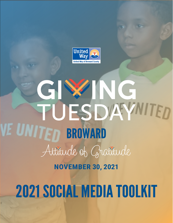

# ING GIW TUESDAYNITED E UNITED BROWARD Attitude of Gratitude **NOVEMBER 30, 2021**

# 2021 SOCIAL MEDIA TOOLKIT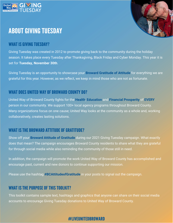

# ABOUT GIVING TUESDAY



### WHAT IS GIVING TUESDAY?

Giving Tuesday was created in 2012 to promote giving back to the community during the holiday season. It takes place every Tuesday after Thanksgiving, Black Friday and Cyber Monday. This year it is set for **Tuesday, November 30th**.

Giving Tuesday is an opportunity to showcase your **Broward Gratitude of Attitude** for everything we are grateful for this year. However, as we reflect, we keep in mind those who are not as fortunate.

#### WHAT DOES UNITED WAY OF BROWARD COUNTY DO?

United Way of Broward County fights for the **Health**, **Education** and **Financial Prosperity** of **EVERY** person in our community. We support 100+ local agency programs throughout Broward County. Many organizations focus on one cause; United Way looks at the community as a whole and, working collaboratively, creates lasting solutions.

### WHAT IS THE BROWARD ATTITUDE OF GRATITUDE?

Show off your **Broward Attitude of Gratitude** during our 2021 Giving Tuesday campaign. What exactly does that mean? The campaign encourages Broward County residents to share what they are grateful for through social media while also reminding the community of those still in need.

In addition, the campaign will promote the work United Way of Broward County has accomplished and encourage past, current and new donors to continue supporting our mission.

Please use the hashtag **#BCAttitudeofGratitude** in your posts to signal out the campaign.

#### WHAT IS THE PURPOSE OF THIS TOOLKIT?

This toolkit contains sample text, hashtags and graphics that anyone can share on their social media accounts to encourage Giving Tuesday donations to United Way of Broward County.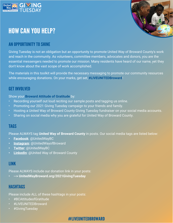

# HOW CAN YOU HELP?



# AN OPPORTUNITY TO SHINE

Giving Tuesday is not an obligation but an opportunity to promote United Way of Broward County's work and reach in the community. As volunteers, committee members, advocates and donors, you are the essential messengers needed to promote our mission. Many residents have heard of our name, yet they don't know about the vast scope of work accomplished.

The materials in this toolkit will provide the necessary messaging to promote our community resources while encouraging donations. On your marks, get set, **#LIVEUNITEDBroward**!

#### GET INVOLVED

Show your **Broward Attitude of Gratitude** by:

- Recording yourself out loud reciting our sample posts and tagging us online.
- Promoting our 2021 Giving Tuesday campaign to your friends and family.
- Hosting a United Way of Broward County Giving Tuesday fundraiser on your social media accounts.
- Sharing on social media why you are grateful for United Way of Broward County.

#### **TAGS**

Please ALWAYS tag **United Way of Broward County** in posts. Our social media tags are listed below:

- **• [Facebook](https://www.facebook.com/unitedwaybc/)**: @UnitedWayBC
- **• [Instagram](https://www.instagram.com/unitedwayofbroward/)**: @UnitedWayofBroward
- **• [Twitter](https://twitter.com/UnitedWayBC)**: @UnitedWayBC
- **• [LinkedIn](https://www.linkedin.com/company/united-way-of-broward-county/)**: @United Way of Broward County

#### LINK

Please ALWAYS include our donation link in your posts:

**• --> UnitedWayBroward.org/2021GivingTuesday** 

#### **HASHTAGS**

Please include ALL of these hashtags in your posts:

- #BCAttitudeofGratitude
- #LIVEUNITEDBroward
- #GivingTuesday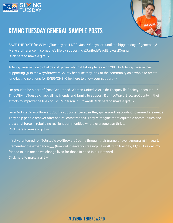



# GIVING TUESDAY GENERAL SAMPLE POSTS

SAVE THE DATE for #GivingTuesday on 11/30! Just ## days left until the biggest day of generosity! Make a difference in someone's life by supporting @UnitedWayofBrowardCounty. Click here to make a gift -->

#GivingTuesday is a global day of generosity that takes place on 11/30. On #GivingTuesday I'm supporting @UnitedWayofBrowardCounty because they look at the community as a whole to create long-lasting solutions for EVERYONE! Click here to show your support -->

I'm proud to be a part of (NextGen United, Women United, Alexis de Tocqueville Society) because \_\_! This #GivingTuesday, I ask all my friends and family to support @UnitedWayofBrowardCounty in their efforts to improve the lives of EVERY person in Broward! Click here to make a gift -->

I'm a @UnitedWayofBrowardCounty supporter because they go beyond responding to immediate needs. They help people recover after natural catastrophes. They reimagine more equitable communities and are a vital force in rebuilding resilient communities where everyone can thrive. Click here to make a gift -->

I first volunteered for @UnitedWayofBrowardCounty through their (name of event/program) in (year). I remember the experience \_\_\_ (how did it leave you feeling?). For #GivingTuesday, 11/30, I ask all my friends to join me as we change lives for those in need in our Broward. Click here to make a gift -->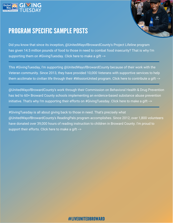



# PROGRAM SPECIFIC SAMPLE POSTS

Did you know that since its inception, @UnitedWayofBrowardCounty's Project Lifeline program has given 14.5 million pounds of food to those in need to combat food insecurity? That is why I'm supporting them on #GivingTuesday. Click here to make a gift -->

This #GivingTuesday, I'm supporting @UnitedWayofBrowardCounty because of their work with the Veteran community. Since 2013, they have provided 10,000 Veterans with supportive services to help them acclimate to civilian life through their #MissionUnited program. Click here to contribute a gift -->

@UnitedWayofBrowardCounty's work through their Commission on Behavioral Health & Drug Prevention has led to 60+ Broward County schools implementing an evidence-based substance abuse prevention initiative. That's why I'm supporting their efforts on #GivingTuesday. Click here to make a gift -->

#GivingTuesday is all about giving back to those in need. That's precisely what @UnitedWayofBrowardCounty's ReadingPals program accomplishes. Since 2012, over 1,800 volunteers have donated over 39,000 hours of reading instruction to children in Broward County. I'm proud to support their efforts. Click here to make a gift -->